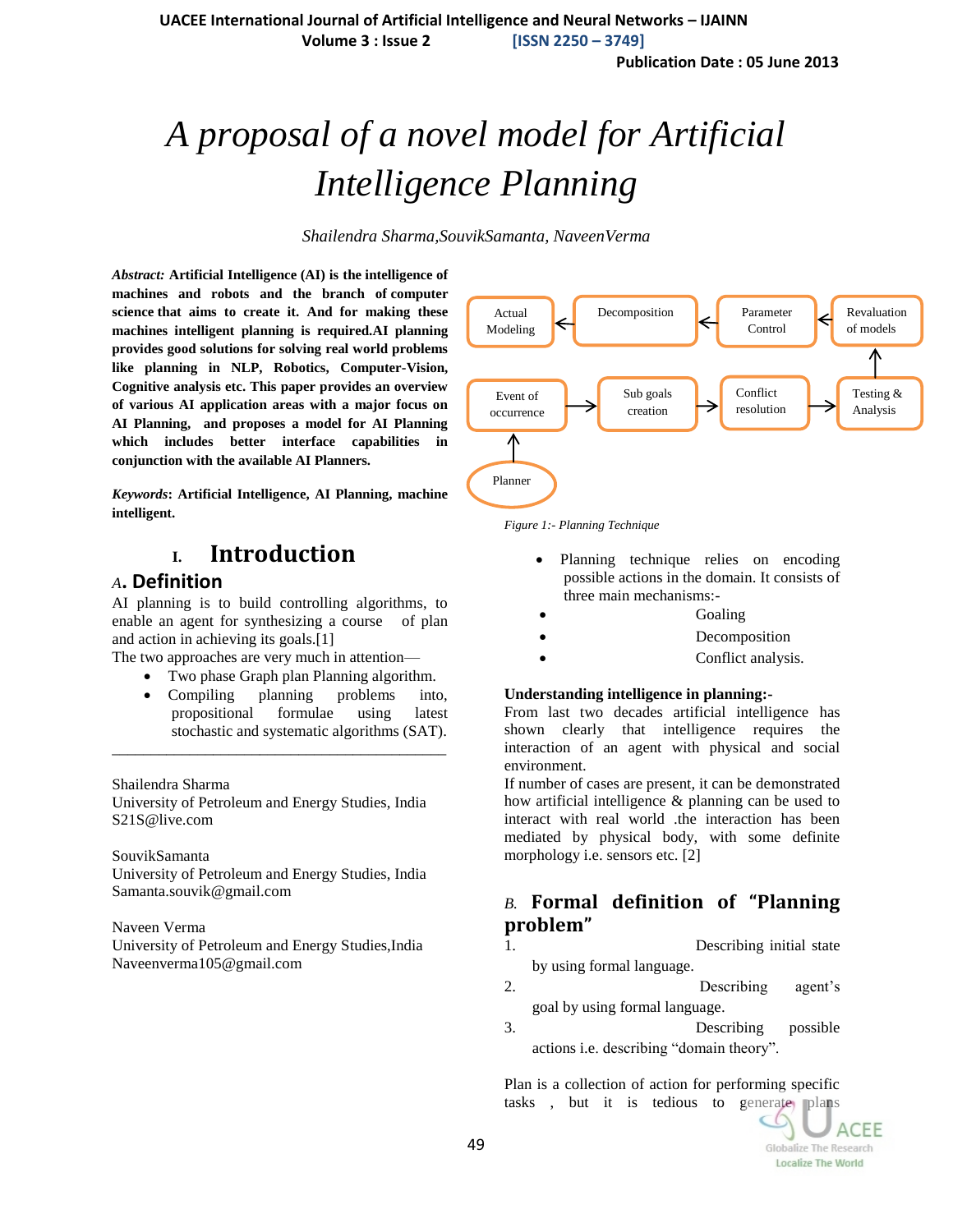**UACEE International Journal of Artificial Intelligence and Neural Networks – IJAINN**

**Volume 3 : Issue 2 [ISSN 2250 – 3749]**

**Publication Date : 05 June 2013**

# *A proposal of a novel model for Artificial Intelligence Planning*

*Shailendra Sharma,SouvikSamanta, NaveenVerma*

*Abstract:* **Artificial Intelligence (AI) is the [intelligence](http://en.wikipedia.org/wiki/Intelligence) of machines and robots and the branch of [computer](http://en.wikipedia.org/wiki/Computer_science)  [science](http://en.wikipedia.org/wiki/Computer_science) that aims to create it. And for making these machines intelligent planning is required.AI planning provides good solutions for solving real world problems like planning in NLP, Robotics, Computer-Vision, Cognitive analysis etc. This paper provides an overview of various AI application areas with a major focus on AI Planning, and proposes a model for AI Planning which includes better interface capabilities in conjunction with the available AI Planners.**

*Keywords***: Artificial Intelligence, AI Planning, machine intelligent.**

## **I. Introduction**

#### *A***. Definition**

AI planning is to build controlling algorithms, to enable an agent for synthesizing a course of plan and action in achieving its goals.[1]

The two approaches are very much in attention—

- Two phase Graph plan Planning algorithm.
- Compiling planning problems into, propositional formulae using latest stochastic and systematic algorithms (SAT).

Shailendra Sharma

University of Petroleum and Energy Studies, India S21S@live.com

\_\_\_\_\_\_\_\_\_\_\_\_\_\_\_\_\_\_\_\_\_\_\_\_\_\_\_\_\_\_\_\_\_\_\_\_\_\_\_\_\_\_\_

SouvikSamanta

University of Petroleum and Energy Studies, India Samanta.souvik@gmail.com

Naveen Verma

University of Petroleum and Energy Studies,India Naveenverma105@gmail.com



*Figure 1:- Planning Technique*

- Planning technique relies on encoding possible actions in the domain. It consists of three main mechanisms:-
- Goaling
- Decomposition
- Conflict analysis.

#### **Understanding intelligence in planning:-**

From last two decades artificial intelligence has shown clearly that intelligence requires the interaction of an agent with physical and social environment.

If number of cases are present, it can be demonstrated how artificial intelligence & planning can be used to interact with real world .the interaction has been mediated by physical body, with some definite morphology i.e. sensors etc. [2]

#### *B.* **Formal definition of "Planning problem"**

- 1. Describing initial state by using formal language.
- 2. Describing agent's goal by using formal language.
- 3. Describing possible actions i.e. describing "domain theory".

Plan is a collection of action for performing specific tasks, but it is tedious to generate plans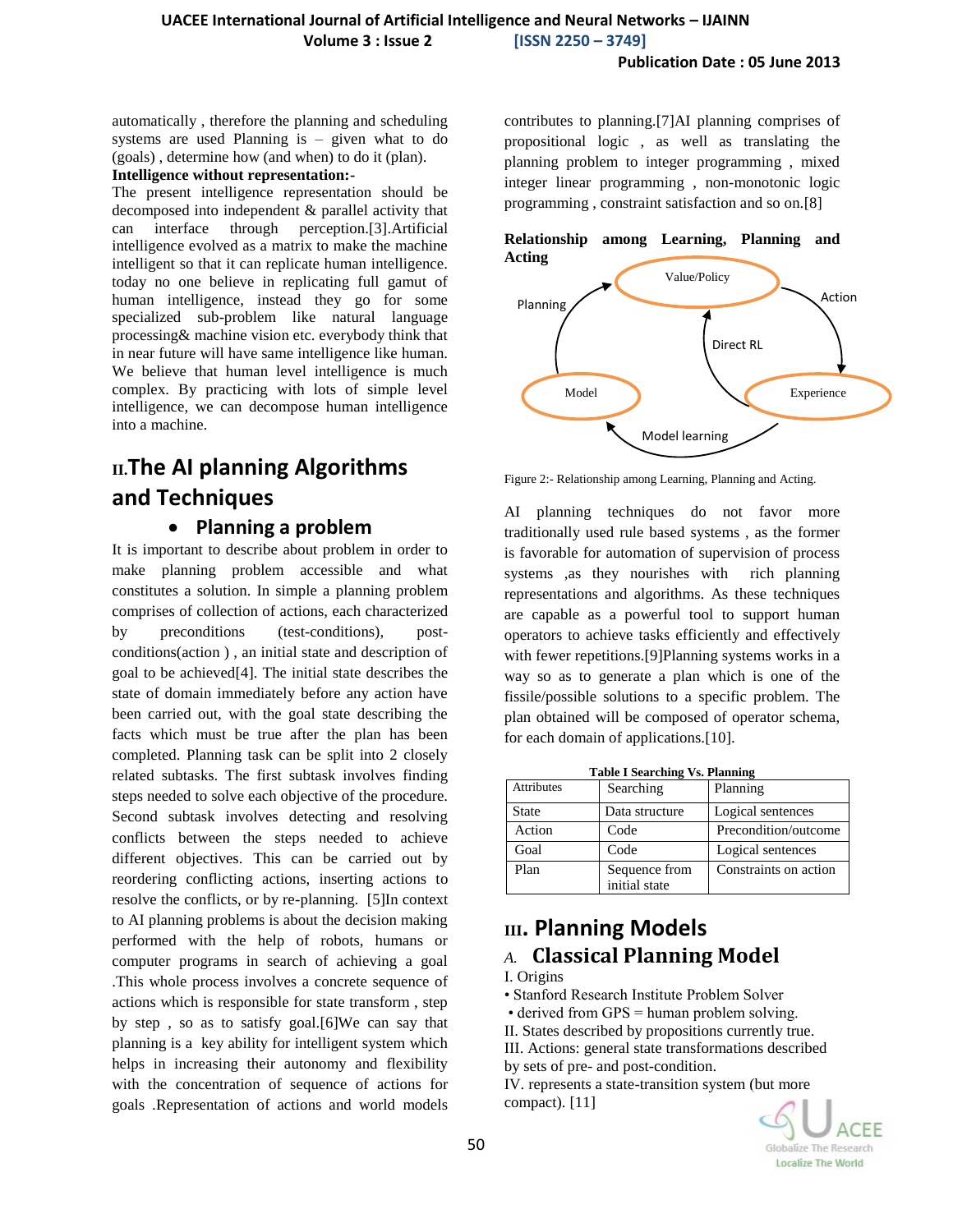automatically , therefore the planning and scheduling systems are used Planning is – given what to do (goals) , determine how (and when) to do it (plan).

#### **Intelligence without representation:-**

The present intelligence representation should be decomposed into independent & parallel activity that can interface through perception.[3].Artificial intelligence evolved as a matrix to make the machine intelligent so that it can replicate human intelligence. today no one believe in replicating full gamut of human intelligence, instead they go for some specialized sub-problem like natural language processing& machine vision etc. everybody think that in near future will have same intelligence like human. We believe that human level intelligence is much complex. By practicing with lots of simple level intelligence, we can decompose human intelligence into a machine.

## **II.The AI planning Algorithms and Techniques**

#### **Planning a problem**

It is important to describe about problem in order to make planning problem accessible and what constitutes a solution. In simple a planning problem comprises of collection of actions, each characterized by preconditions (test-conditions), postconditions(action ) , an initial state and description of goal to be achieved[4]. The initial state describes the state of domain immediately before any action have been carried out, with the goal state describing the facts which must be true after the plan has been completed. Planning task can be split into 2 closely related subtasks. The first subtask involves finding steps needed to solve each objective of the procedure. Second subtask involves detecting and resolving conflicts between the steps needed to achieve different objectives. This can be carried out by reordering conflicting actions, inserting actions to resolve the conflicts, or by re-planning. [5]In context to AI planning problems is about the decision making performed with the help of robots, humans or computer programs in search of achieving a goal .This whole process involves a concrete sequence of actions which is responsible for state transform , step by step , so as to satisfy goal.[6]We can say that planning is a key ability for intelligent system which helps in increasing their autonomy and flexibility with the concentration of sequence of actions for goals .Representation of actions and world models contributes to planning.[7]AI planning comprises of propositional logic , as well as translating the planning problem to integer programming , mixed integer linear programming , non-monotonic logic programming , constraint satisfaction and so on.[8]





Figure 2:- Relationship among Learning, Planning and Acting.

AI planning techniques do not favor more traditionally used rule based systems , as the former is favorable for automation of supervision of process systems ,as they nourishes with rich planning representations and algorithms. As these techniques are capable as a powerful tool to support human operators to achieve tasks efficiently and effectively with fewer repetitions.[9]Planning systems works in a way so as to generate a plan which is one of the fissile/possible solutions to a specific problem. The plan obtained will be composed of operator schema, for each domain of applications.[10].

| <b>Table I Searching Vs. Planning</b> |                |                       |
|---------------------------------------|----------------|-----------------------|
| Attributes                            | Searching      | Planning              |
| <b>State</b>                          | Data structure | Logical sentences     |
| Action                                | Code           | Precondition/outcome  |
| Goal                                  | Code           | Logical sentences     |
| Plan                                  | Sequence from  | Constraints on action |
|                                       | initial state  |                       |

## **III. Planning Models** *A.* **Classical Planning Model**

I. Origins

• Stanford Research Institute Problem Solver

• derived from GPS = human problem solving.

II. States described by propositions currently true.

III. Actions: general state transformations described by sets of pre- and post-condition.

IV. represents a state-transition system (but more compact). [11]

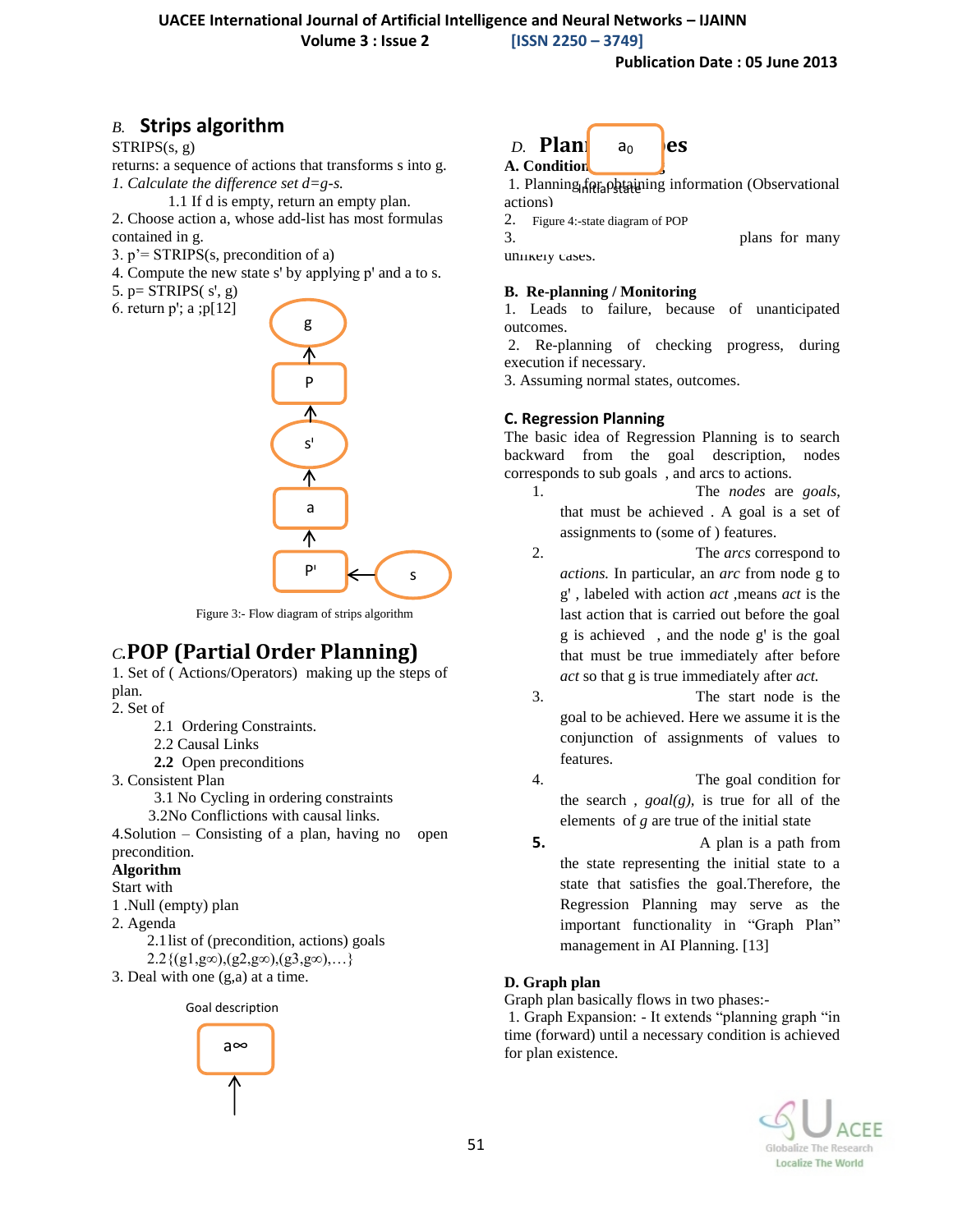**Volume 3 : Issue 2 [ISSN 2250 – 3749]**

#### *B.* **Strips algorithm**

 $STRIPS(s, g)$ 

returns: a sequence of actions that transforms s into g. *1. Calculate the difference set d=g-s.* 

1.1 If d is empty, return an empty plan.

2. Choose action a, whose add-list has most formulas contained in g.

- 3.  $p' = STRIPS(s, precondition of a)$
- 4. Compute the new state s' by applying p' and a to s.
- 5.  $p = STRIPS(s', g)$
- 6. return  $p$ '; a ; $p[12]$



Figure 3:- Flow diagram of strips algorithm

## *C*.**POP (Partial Order Planning)**

1. Set of ( Actions/Operators) making up the steps of plan.

2. Set of

- 2.1 Ordering Constraints.
- 2.2 Causal Links
- **2.2** Open preconditions

3. Consistent Plan

3.1 No Cycling in ordering constraints

3.2No Conflictions with causal links.

4.Solution – Consisting of a plan, having no open precondition.

#### **Algorithm**

- Start with
- 1 .Null (empty) plan 2. Agenda
	- 2.1list of (precondition, actions) goals  $2.2\{(g1,g\infty),(g2,g\infty),(g3,g\infty),\ldots\}$
- 3. Deal with one (g,a) at a time.







1. Planning for obtaining information (Observational actions)

2. Figure 4:-state diagram of POP

 $3.$  because it also plans for many

unlikely cases.

#### **B. Re-planning / Monitoring**

1. Leads to failure, because of unanticipated outcomes.

2. Re-planning of checking progress, during execution if necessary.

3. Assuming normal states, outcomes.

#### **C. Regression Planning**

The basic idea of Regression Planning is to search backward from the goal description, nodes corresponds to sub goals , and arcs to actions.

- 1. The *nodes* are *goals*, that must be achieved . A goal is a set of assignments to (some of ) features.
- 2. The *arcs* correspond to *actions.* In particular, an *arc* from node g to gꞌ , labeled with action *act ,*means *act* is the last action that is carried out before the goal  $g$  is achieved, and the node  $g'$  is the goal that must be true immediately after before *act* so that g is true immediately after *act.*
- 3. The start node is the goal to be achieved. Here we assume it is the conjunction of assignments of values to features.
- 4. The goal condition for the search , *goal(g),* is true for all of the elements of *g* are true of the initial state
- **5.** A plan is a path from the state representing the initial state to a state that satisfies the goal.Therefore, the Regression Planning may serve as the important functionality in "Graph Plan" management in AI Planning. [13]

#### **D. Graph plan**

Graph plan basically flows in two phases:-

1. Graph Expansion: - It extends "planning graph "in time (forward) until a necessary condition is achieved  $f(x) = \frac{1}{2}$  for plan existence.

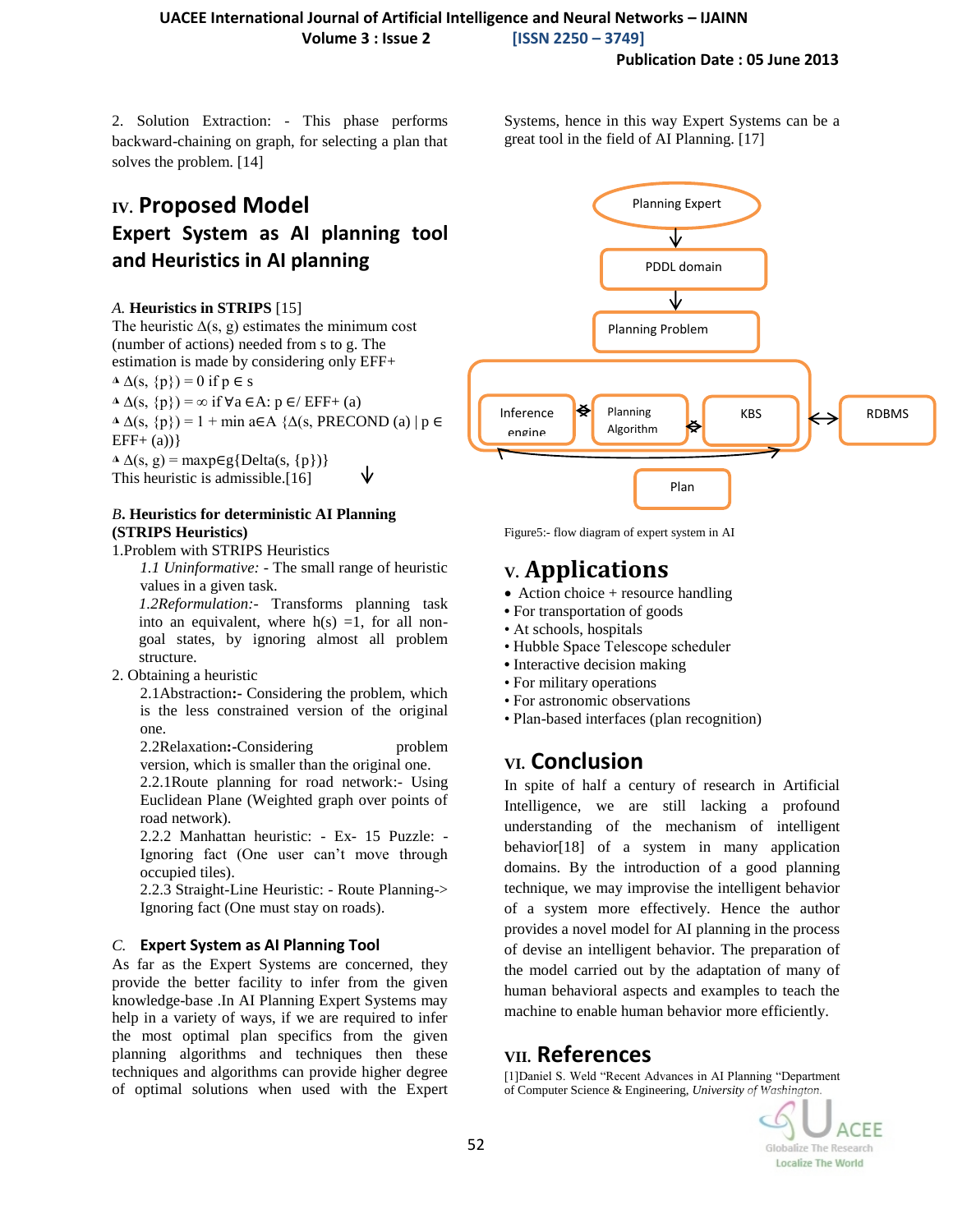#### **UACEE International Journal of Artificial Intelligence and Neural Networks – IJAINN Volume 3 : Issue 2 [ISSN 2250 – 3749]**

#### **Publication Date : 05 June 2013**

2. Solution Extraction: - This phase performs backward-chaining on graph, for selecting a plan that solves the problem. [14]

## **IV. Proposed Model Expert System as AI planning tool and Heuristics in AI planning**

#### *A.* **Heuristics in STRIPS** [15]

The heuristic  $\Delta(s, g)$  estimates the minimum cost (number of actions) needed from s to g. The estimation is made by considering only EFF+

 $\Delta(\mathbf{s}, \{\mathbf{p}\}) = 0$  if  $\mathbf{p} \in \mathbf{s}$ 

 $\Delta(\mathbf{s}, \{\mathbf{p}\}) = \infty$  if  $\forall \mathbf{a} \in \mathbf{A}$ :  $\mathbf{p} \in \mathcal{E}$ FF+ (a)

 $\Delta \Delta(s, \{p\}) = 1 + \min a \in A \{ \Delta(s, PRECOND(a) | p \in A\})$  $EFF+(a)$ 

◮ ∆(s, g) = maxp∈g{Delta(s, {p})} This heuristic is admissible.[16]

#### *B***. Heuristics for deterministic AI Planning (STRIPS Heuristics)**

1.Problem with STRIPS Heuristics

*1.1 Uninformative: -* The small range of heuristic values in a given task.

*1.2Reformulation:-* Transforms planning task into an equivalent, where  $h(s) = 1$ , for all nongoal states, by ignoring almost all problem structure.

2. Obtaining a heuristic

2.1Abstraction**:-** Considering the problem, which is the less constrained version of the original one.

2.2Relaxation: Considering problem version, which is smaller than the original one.

2.2.1Route planning for road network:- Using Euclidean Plane (Weighted graph over points of road network).

2.2.2 Manhattan heuristic: - Ex- 15 Puzzle: - Ignoring fact (One user can't move through occupied tiles).

2.2.3 Straight-Line Heuristic: - Route Planning-> Ignoring fact (One must stay on roads).

#### *C.* **Expert System as AI Planning Tool**

As far as the Expert Systems are concerned, they provide the better facility to infer from the given knowledge-base .In AI Planning Expert Systems may help in a variety of ways, if we are required to infer the most optimal plan specifics from the given planning algorithms and techniques then these techniques and algorithms can provide higher degree of optimal solutions when used with the Expert Systems, hence in this way Expert Systems can be a great tool in the field of AI Planning. [17]



Figure5:- flow diagram of expert system in AI

## **V. Applications**

- $\bullet$  Action choice + resource handling
- For transportation of goods
- At schools, hospitals
- Hubble Space Telescope scheduler
- **•** Interactive decision making
- For military operations
- For astronomic observations
- Plan-based interfaces (plan recognition)

### **VI. Conclusion**

In spite of half a century of research in Artificial Intelligence, we are still lacking a profound understanding of the mechanism of intelligent behavior[18] of a system in many application domains. By the introduction of a good planning technique, we may improvise the intelligent behavior of a system more effectively. Hence the author provides a novel model for AI planning in the process of devise an intelligent behavior. The preparation of the model carried out by the adaptation of many of human behavioral aspects and examples to teach the machine to enable human behavior more efficiently.

#### **VII. References**

[1]Daniel S. Weld "Recent Advances in AI Planning "Department of Computer Science & Engineering, *University of Washington.*